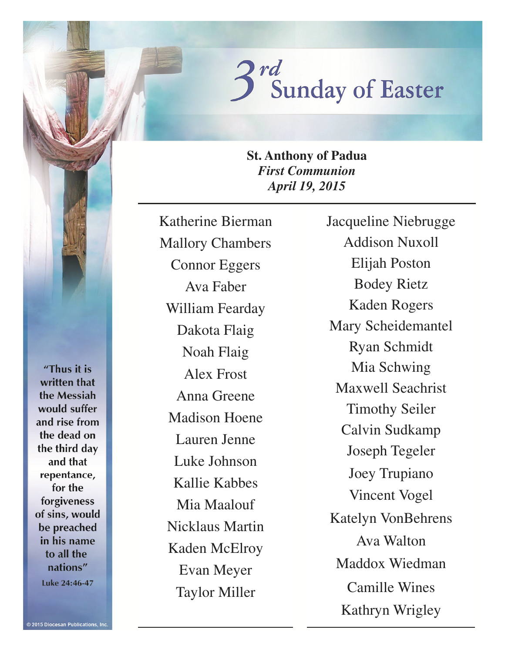

**St. Anthony of Padua**  *First Communion April 19, 2015* 

Katherine Bierman Mallory Chambers Connor Eggers Ava Faber William Fearday Dakota Flaig Noah Flaig Alex Frost Anna Greene Madison Hoene Lauren Jenne Luke Johnson Kallie Kabbes Mia Maalouf Nicklaus Martin Kaden McElroy Evan Meyer Taylor Miller

Jacqueline Niebrugge Addison Nuxoll Elijah Poston Bodey Rietz Kaden Rogers Mary Scheidemantel Ryan Schmidt Mia Schwing Maxwell Seachrist Timothy Seiler Calvin Sudkamp Joseph Tegeler Joey Trupiano Vincent Vogel Katelyn VonBehrens Ava Walton Maddox Wiedman Camille Wines Kathryn Wrigley

"Thus it is written that the Messiah would suffer and rise from the dead on the third day and that repentance, for the forgiveness of sins, would be preached in his name to all the nations" Luke 24:46-47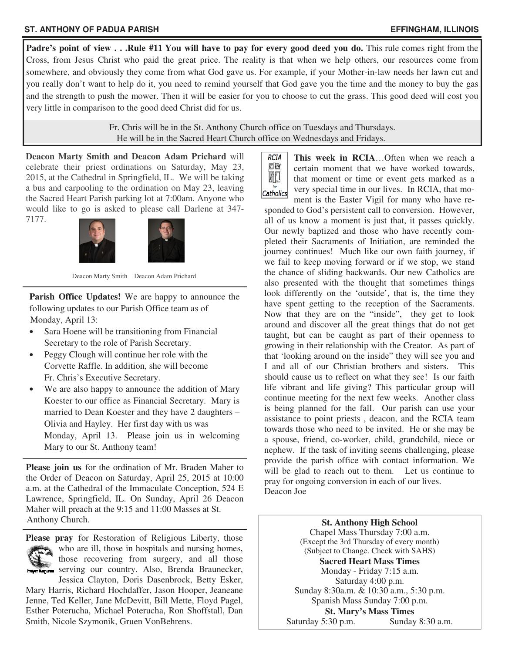### **ST. ANTHONY OF PADUA PARISH EFFINGHAM, ILLINOIS**

**Padre's point of view . . .Rule #11 You will have to pay for every good deed you do.** This rule comes right from the Cross, from Jesus Christ who paid the great price. The reality is that when we help others, our resources come from somewhere, and obviously they come from what God gave us. For example, if your Mother-in-law needs her lawn cut and you really don't want to help do it, you need to remind yourself that God gave you the time and the money to buy the gas and the strength to push the mower. Then it will be easier for you to choose to cut the grass. This good deed will cost you very little in comparison to the good deed Christ did for us.

> Fr. Chris will be in the St. Anthony Church office on Tuesdays and Thursdays. He will be in the Sacred Heart Church office on Wednesdays and Fridays.

**Deacon Marty Smith and Deacon Adam Prichard** will celebrate their priest ordinations on Saturday, May 23, 2015, at the Cathedral in Springfield, IL. We will be taking a bus and carpooling to the ordination on May 23, leaving the Sacred Heart Parish parking lot at 7:00am. Anyone who would like to go is asked to please call Darlene at 347- 7177.



Deacon Marty Smith Deacon Adam Prichard

**Parish Office Updates!** We are happy to announce the following updates to our Parish Office team as of Monday, April 13:

- Sara Hoene will be transitioning from Financial Secretary to the role of Parish Secretary.
- Peggy Clough will continue her role with the Corvette Raffle. In addition, she will become Fr. Chris's Executive Secretary.
- We are also happy to announce the addition of Mary Koester to our office as Financial Secretary. Mary is married to Dean Koester and they have 2 daughters – Olivia and Hayley. Her first day with us was Monday, April 13. Please join us in welcoming Mary to our St. Anthony team!

**Please join us** for the ordination of Mr. Braden Maher to the Order of Deacon on Saturday, April 25, 2015 at 10:00 a.m. at the Cathedral of the Immaculate Conception, 524 E Lawrence, Springfield, IL. On Sunday, April 26 Deacon Maher will preach at the 9:15 and 11:00 Masses at St. Anthony Church.



**Please pray** for Restoration of Religious Liberty, those who are ill, those in hospitals and nursing homes, those recovering from surgery, and all those Frager Requests serving our country. Also, Brenda Braunecker, Jessica Clayton, Doris Dasenbrock, Betty Esker,

Mary Harris, Richard Hochdaffer, Jason Hooper, Jeaneane Jenne, Ted Keller, Jane McDevitt, Bill Mette, Floyd Pagel, Esther Poterucha, Michael Poterucha, Ron Shoffstall, Dan Smith, Nicole Szymonik, Gruen VonBehrens.



**This week in RCIA**…Often when we reach a certain moment that we have worked towards, that moment or time or event gets marked as a very special time in our lives. In RCIA, that moment is the Easter Vigil for many who have re-

sponded to God's persistent call to conversion. However, all of us know a moment is just that, it passes quickly. Our newly baptized and those who have recently completed their Sacraments of Initiation, are reminded the journey continues! Much like our own faith journey, if we fail to keep moving forward or if we stop, we stand the chance of sliding backwards. Our new Catholics are also presented with the thought that sometimes things look differently on the 'outside', that is, the time they have spent getting to the reception of the Sacraments. Now that they are on the "inside", they get to look around and discover all the great things that do not get taught, but can be caught as part of their openness to growing in their relationship with the Creator. As part of that 'looking around on the inside" they will see you and I and all of our Christian brothers and sisters. This should cause us to reflect on what they see! Is our faith life vibrant and life giving? This particular group will continue meeting for the next few weeks. Another class is being planned for the fall. Our parish can use your assistance to point priests , deacon, and the RCIA team towards those who need to be invited. He or she may be a spouse, friend, co-worker, child, grandchild, niece or nephew. If the task of inviting seems challenging, please provide the parish office with contact information. We will be glad to reach out to them. Let us continue to pray for ongoing conversion in each of our lives. Deacon Joe

> **St. Anthony High School**  Chapel Mass Thursday 7:00 a.m. (Except the 3rd Thursday of every month) (Subject to Change. Check with SAHS) **Sacred Heart Mass Times**  Monday - Friday 7:15 a.m. Saturday 4:00 p.m. Sunday 8:30a.m. & 10:30 a.m., 5:30 p.m. Spanish Mass Sunday 7:00 p.m. **St. Mary's Mass Times**  Saturday 5:30 p.m. Sunday 8:30 a.m.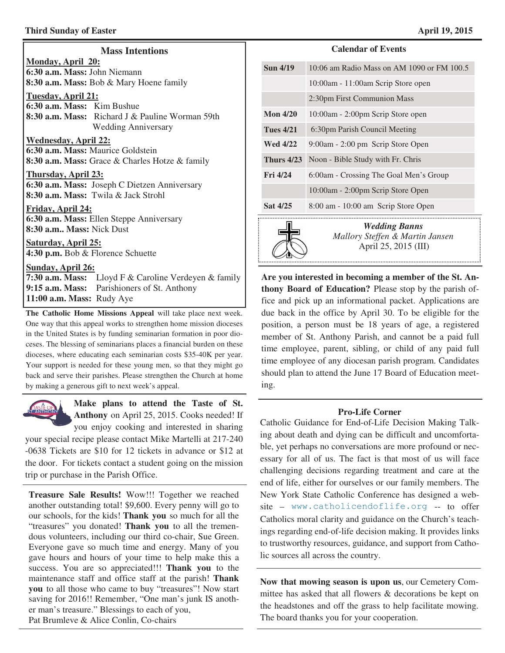### **Third Sunday of Easter April 19, 2015**

| <b>Mass Intentions</b>                                                                      |  |
|---------------------------------------------------------------------------------------------|--|
| Monday, April 20:                                                                           |  |
| 6:30 a.m. Mass: John Niemann                                                                |  |
| <b>8:30 a.m. Mass:</b> Bob & Mary Hoene family                                              |  |
| Tuesday, April 21:                                                                          |  |
| 6:30 a.m. Mass: Kim Bushue                                                                  |  |
| 8:30 a.m. Mass: Richard J & Pauline Worman 59th                                             |  |
| <b>Wedding Anniversary</b>                                                                  |  |
|                                                                                             |  |
| <b>Wednesday, April 22:</b>                                                                 |  |
| 6:30 a.m. Mass: Maurice Goldstein                                                           |  |
| <b>8:30 a.m. Mass:</b> Grace & Charles Hotze & family                                       |  |
| Thursday, April 23:                                                                         |  |
| 6:30 a.m. Mass: Joseph C Dietzen Anniversary                                                |  |
| <b>8:30 a.m. Mass:</b> Twila & Jack Strohl                                                  |  |
|                                                                                             |  |
| Friday, April 24:                                                                           |  |
| 6:30 a.m. Mass: Ellen Steppe Anniversary                                                    |  |
| 8:30 a.m Mass: Nick Dust                                                                    |  |
| <b>Saturday, April 25:</b>                                                                  |  |
| 4:30 p.m. Bob & Florence Schuette                                                           |  |
|                                                                                             |  |
| Sunday, April 26:                                                                           |  |
| 7:30 a.m. Mass: Lloyd F & Caroline Verdeyen & family                                        |  |
| $0.15 \pm $ M <sub>in</sub> , $D_{\text{c}}$ , $1.1 \pm  \pm C_{\text{c}}$ A $\pm 1.1 \pm $ |  |

**9:15 a.m. Mass:** Parishioners of St. Anthony

**11:00 a.m. Mass:** Rudy Aye

**The Catholic Home Missions Appeal** will take place next week. One way that this appeal works to strengthen home mission dioceses in the United States is by funding seminarian formation in poor dioceses. The blessing of seminarians places a financial burden on these dioceses, where educating each seminarian costs \$35-40K per year. Your support is needed for these young men, so that they might go back and serve their parishes. Please strengthen the Church at home by making a generous gift to next week's appeal.



**Make plans to attend the Taste of St. Anthony** on April 25, 2015. Cooks needed! If you enjoy cooking and interested in sharing

your special recipe please contact Mike Martelli at 217-240 -0638 Tickets are \$10 for 12 tickets in advance or \$12 at the door. For tickets contact a student going on the mission trip or purchase in the Parish Office.

**Treasure Sale Results!** Wow!!! Together we reached another outstanding total! \$9,600. Every penny will go to our schools, for the kids! **Thank you** so much for all the "treasures" you donated! **Thank you** to all the tremendous volunteers, including our third co-chair, Sue Green. Everyone gave so much time and energy. Many of you gave hours and hours of your time to help make this a success. You are so appreciated!!! **Thank you** to the maintenance staff and office staff at the parish! **Thank you** to all those who came to buy "treasures"! Now start saving for 2016!! Remember, "One man's junk IS another man's treasure." Blessings to each of you, Pat Brumleve & Alice Conlin, Co-chairs

#### **Calendar of Events**

| <b>Sun 4/19</b>   | 10:06 am Radio Mass on AM 1090 or FM 100.5 |
|-------------------|--------------------------------------------|
|                   | 10:00am - 11:00am Scrip Store open         |
|                   | 2:30pm First Communion Mass                |
| Mon $4/20$        | 10:00am - 2:00pm Scrip Store open          |
| <b>Tues 4/21</b>  | 6:30pm Parish Council Meeting              |
| <b>Wed 4/22</b>   | 9:00am - 2:00 pm Scrip Store Open          |
| <b>Thurs 4/23</b> | Noon - Bible Study with Fr. Chris          |
| Fig. 4/24         | 6:00am - Crossing The Goal Men's Group     |
|                   | 10:00am - 2:00pm Scrip Store Open          |
| Sat 4/25          | 8:00 am - 10:00 am Scrip Store Open        |
|                   |                                            |



*Wedding Banns Mallory Steffen & Martin Jansen*  April 25, 2015 (III)

**Are you interested in becoming a member of the St. Anthony Board of Education?** Please stop by the parish office and pick up an informational packet. Applications are due back in the office by April 30. To be eligible for the position, a person must be 18 years of age, a registered member of St. Anthony Parish, and cannot be a paid full time employee, parent, sibling, or child of any paid full time employee of any diocesan parish program. Candidates should plan to attend the June 17 Board of Education meeting.

### **Pro-Life Corner**

Catholic Guidance for End-of-Life Decision Making Talking about death and dying can be difficult and uncomfortable, yet perhaps no conversations are more profound or necessary for all of us. The fact is that most of us will face challenging decisions regarding treatment and care at the end of life, either for ourselves or our family members. The New York State Catholic Conference has designed a website – www.catholicendoflife.org -- to offer Catholics moral clarity and guidance on the Church's teachings regarding end-of-life decision making. It provides links to trustworthy resources, guidance, and support from Catholic sources all across the country.

**Now that mowing season is upon us**, our Cemetery Committee has asked that all flowers & decorations be kept on the headstones and off the grass to help facilitate mowing. The board thanks you for your cooperation.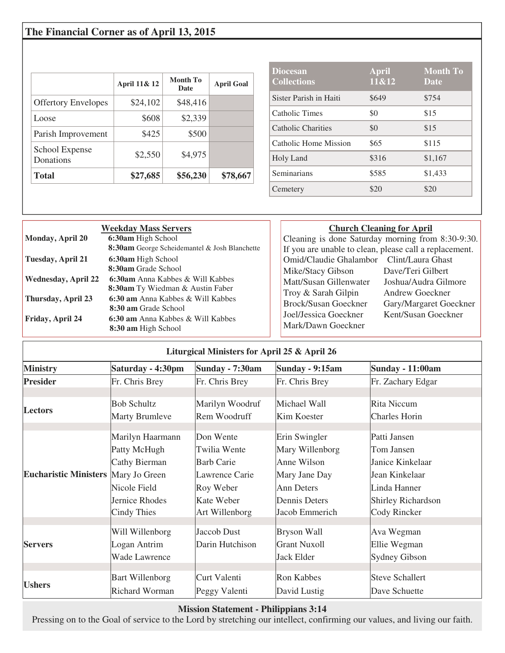# **The Financial Corner as of April 13, 2015**

|                             | April 11& 12 | Month To<br><b>Date</b> | <b>April Goal</b> |
|-----------------------------|--------------|-------------------------|-------------------|
| <b>Offertory Envelopes</b>  | \$24,102     | \$48,416                |                   |
| Loose                       | \$608        | \$2,339                 |                   |
| Parish Improvement          | \$425        | \$500                   |                   |
| School Expense<br>Donations | \$2,550      | \$4,975                 |                   |
| <b>Total</b>                | \$27,685     | \$56,230                | \$78,667          |

| <b>Diocesan</b><br><b>Collections</b> | <b>April</b><br>11&12 | <b>Month To</b><br>Date |
|---------------------------------------|-----------------------|-------------------------|
| Sister Parish in Haiti                | \$649                 | \$754                   |
| Catholic Times                        | \$0                   | \$15                    |
| Catholic Charities                    | \$0                   | \$15                    |
| Catholic Home Mission                 | \$65                  | \$115                   |
| Holy Land                             | \$316                 | \$1,167                 |
| Seminarians                           | \$585                 | \$1,433                 |
| Cemetery                              | \$20                  | \$20                    |

| <b>Weekday Mass Servers</b> |                                                      |  |
|-----------------------------|------------------------------------------------------|--|
| Monday, April 20            | 6:30am High School                                   |  |
|                             | <b>8:30am</b> George Scheidemantel & Josh Blanchette |  |
| Tuesday, April 21           | 6:30am High School                                   |  |
|                             | 8:30am Grade School                                  |  |
| <b>Wednesday, April 22</b>  | 6:30am Anna Kabbes & Will Kabbes                     |  |
|                             | <b>8:30am</b> Ty Wiedman & Austin Faber              |  |
| Thursday, April 23          | 6:30 am Anna Kabbes & Will Kabbes                    |  |
|                             | 8:30 am Grade School                                 |  |
| Friday, April 24            | 6:30 am Anna Kabbes & Will Kabbes                    |  |
|                             | 8:30 am High School                                  |  |

### **Church Cleaning for April**

| Cleaning is done Saturday morning from 8:30-9:30.      |                        |  |
|--------------------------------------------------------|------------------------|--|
| If you are unable to clean, please call a replacement. |                        |  |
| Omid/Claudie Ghalambor                                 | Clint/Laura Ghast      |  |
| Mike/Stacy Gibson                                      | Dave/Teri Gilbert      |  |
| Matt/Susan Gillenwater                                 | Joshua/Audra Gilmore   |  |
| Troy & Sarah Gilpin                                    | Andrew Goeckner        |  |
| <b>Brock/Susan Goeckner</b>                            | Gary/Margaret Goeckner |  |
| Joel/Jessica Goeckner                                  | Kent/Susan Goeckner    |  |
| Mark/Dawn Goeckner                                     |                        |  |
|                                                        |                        |  |

| Liturgical Ministers for April 25 & April 26 |                        |                   |                     |                           |
|----------------------------------------------|------------------------|-------------------|---------------------|---------------------------|
| <b>Ministry</b>                              | Saturday - 4:30pm      | Sunday - 7:30am   | Sunday - 9:15am     | <b>Sunday - 11:00am</b>   |
| <b>Presider</b>                              | Fr. Chris Brey         | Fr. Chris Brey    | Fr. Chris Brey      | Fr. Zachary Edgar         |
| <b>Lectors</b>                               | <b>Bob Schultz</b>     | Marilyn Woodruf   | Michael Wall        | <b>Rita Niccum</b>        |
|                                              | <b>Marty Brumleve</b>  | Rem Woodruff      | Kim Koester         | <b>Charles Horin</b>      |
| Eucharistic Ministers Mary Jo Green          | Marilyn Haarmann       | Don Wente         | Erin Swingler       | Patti Jansen              |
|                                              | Patty McHugh           | Twilia Wente      | Mary Willenborg     | Tom Jansen                |
|                                              | Cathy Bierman          | <b>Barb Carie</b> | Anne Wilson         | Janice Kinkelaar          |
|                                              |                        | Lawrence Carie    | Mary Jane Day       | Jean Kinkelaar            |
|                                              | Nicole Field           | Roy Weber         | <b>Ann Deters</b>   | Linda Hanner              |
|                                              | Jernice Rhodes         | Kate Weber        | Dennis Deters       | <b>Shirley Richardson</b> |
|                                              | Cindy Thies            | Art Willenborg    | Jacob Emmerich      | Cody Rincker              |
|                                              | Will Willenborg        | Jaccob Dust       | <b>Bryson Wall</b>  | Ava Wegman                |
| <b>Servers</b>                               | Logan Antrim           | Darin Hutchison   | <b>Grant Nuxoll</b> | Ellie Wegman              |
|                                              | Wade Lawrence          |                   | Jack Elder          | <b>Sydney Gibson</b>      |
|                                              |                        |                   |                     |                           |
| <b>Ushers</b>                                | <b>Bart Willenborg</b> | Curt Valenti      | Ron Kabbes          | <b>Steve Schallert</b>    |
|                                              | <b>Richard Worman</b>  | Peggy Valenti     | David Lustig        | Dave Schuette             |

# **Mission Statement - Philippians 3:14**

Pressing on to the Goal of service to the Lord by stretching our intellect, confirming our values, and living our faith.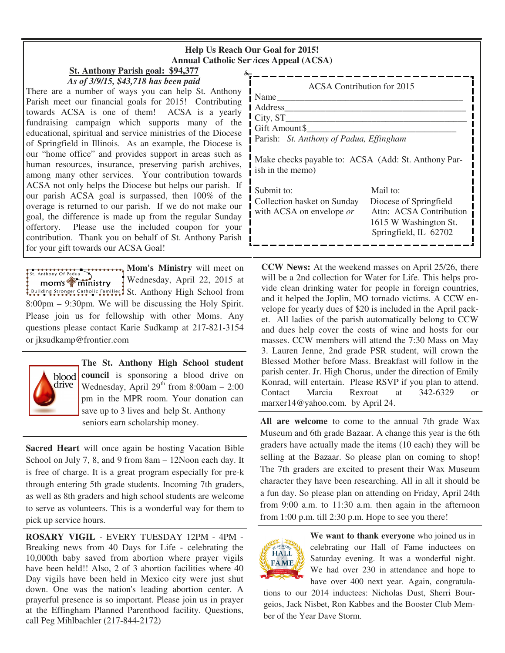### **Help Us Reach Our Goal for 2015! Annual Catholic Services Appeal (ACSA)**

# **St. Anthony Parish goal: \$94,377**

*As of 3/9/15, \$43,718 has been paid*  There are a number of ways you can help St. Anthony Parish meet our financial goals for 2015! Contributing towards ACSA is one of them! ACSA is a yearly fundraising campaign which supports many of the educational, spiritual and service ministries of the Diocese of Springfield in Illinois. As an example, the Diocese is our "home office" and provides support in areas such as human resources, insurance, preserving parish archives, among many other services. Your contribution towards ACSA not only helps the Diocese but helps our parish. If our parish ACSA goal is surpassed, then 100% of the overage is returned to our parish. If we do not make our goal, the difference is made up from the regular Sunday offertory. Please use the included coupon for your contribution. Thank you on behalf of St. Anthony Parish for your gift towards our ACSA Goal!

**Mom's Ministry** will meet on  $\overrightarrow{B}$  . Anthony Of Padua Wednesday, April 22, 2015 at  $mom's$  $\frac{1}{2}$  $\frac{1}{2}$  $\frac{1}{2}$  $\frac{1}{2}$  $\frac{1}{2}$  $\frac{1}{2}$  $\frac{1}{2}$  $\frac{1}{2}$  $\frac{1}{2}$  $\frac{1}{2}$  $\frac{1}{2}$  $\frac{1}{2}$  $\frac{1}{2}$  $\frac{1}{2}$  $\frac{1}{2}$  $\frac{1}{2}$  $\frac{1}{2}$  $\frac{1}{2}$  $\frac{1}{2}$  $\frac{1}{2}$  $\frac{1}{2}$  $\frac{1}{2}$  $\frac{1}{2}$  $\frac{1}{2}$ Suilding Stronger Catholic Families: St. Anthony High School from 8:00pm – 9:30pm. We will be discussing the Holy Spirit. Please join us for fellowship with other Moms. Any questions please contact Karie Sudkamp at 217-821-3154 or jksudkamp@frontier.com



**The St. Anthony High School student council** is sponsoring a blood drive on Wednesday, April  $29<sup>th</sup>$  from  $8:00am - 2:00$ pm in the MPR room. Your donation can save up to 3 lives and help St. Anthony seniors earn scholarship money.

**Sacred Heart** will once again be hosting Vacation Bible School on July 7, 8, and 9 from 8am – 12Noon each day. It is free of charge. It is a great program especially for pre-k through entering 5th grade students. Incoming 7th graders, as well as 8th graders and high school students are welcome to serve as volunteers. This is a wonderful way for them to pick up service hours.

**ROSARY VIGIL** - EVERY TUESDAY 12PM - 4PM - Breaking news from 40 Days for Life - celebrating the 10,000th baby saved from abortion where prayer vigils have been held!! Also, 2 of 3 abortion facilities where 40 Day vigils have been held in Mexico city were just shut down. One was the nation's leading abortion center. A prayerful presence is so important. Please join us in prayer at the Effingham Planned Parenthood facility. Questions, call Peg Mihlbachler (217-844-2172)

| ACSA Contribution for 2015                                              |                                                   |  |
|-------------------------------------------------------------------------|---------------------------------------------------|--|
| Name                                                                    |                                                   |  |
| Address                                                                 |                                                   |  |
| City, ST                                                                |                                                   |  |
| Gift Amount\$                                                           |                                                   |  |
| Parish: St. Anthony of Padua, Effingham                                 |                                                   |  |
| Make checks payable to: ACSA (Add: St. Anthony Par-<br>ish in the memo) |                                                   |  |
| Submit to:                                                              | Mail to:                                          |  |
| Collection basket on Sunday<br>with ACSA on envelope or                 | Diocese of Springfield<br>Attn: ACSA Contribution |  |
|                                                                         | 1615 W Washington St.                             |  |
|                                                                         | Springfield, IL 62702                             |  |
|                                                                         |                                                   |  |

**CCW News:** At the weekend masses on April 25/26, there will be a 2nd collection for Water for Life. This helps provide clean drinking water for people in foreign countries, and it helped the Joplin, MO tornado victims. A CCW envelope for yearly dues of \$20 is included in the April packet. All ladies of the parish automatically belong to CCW and dues help cover the costs of wine and hosts for our masses. CCW members will attend the 7:30 Mass on May 3. Lauren Jenne, 2nd grade PSR student, will crown the Blessed Mother before Mass. Breakfast will follow in the parish center. Jr. High Chorus, under the direction of Emily Konrad, will entertain. Please RSVP if you plan to attend. Contact Marcia Rexroat at 342-6329 or marxer14@yahoo.com. by April 24.

**All are welcome** to come to the annual 7th grade Wax Museum and 6th grade Bazaar. A change this year is the 6th graders have actually made the items (10 each) they will be selling at the Bazaar. So please plan on coming to shop! The 7th graders are excited to present their Wax Museum character they have been researching. All in all it should be a fun day. So please plan on attending on Friday, April 24th from 9:00 a.m. to  $11:30$  a.m. then again in the afternoon. from 1:00 p.m. till 2:30 p.m. Hope to see you there!



**We want to thank everyone** who joined us in celebrating our Hall of Fame inductees on Saturday evening. It was a wonderful night. We had over 230 in attendance and hope to have over 400 next year. Again, congratula-

tions to our 2014 inductees: Nicholas Dust, Sherri Bourgeios, Jack Nisbet, Ron Kabbes and the Booster Club Member of the Year Dave Storm.